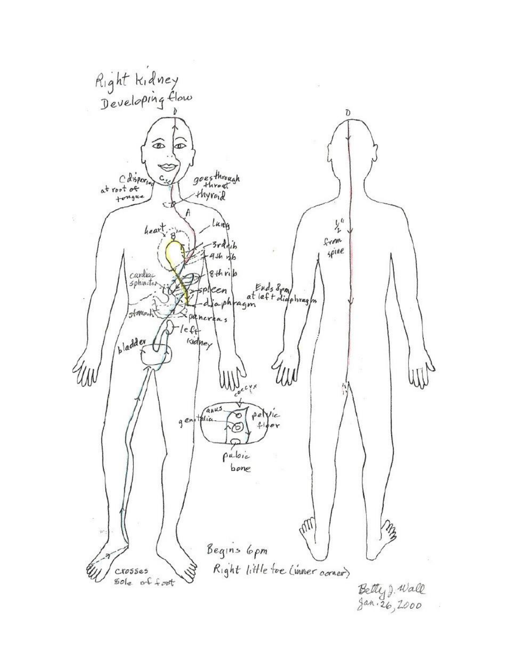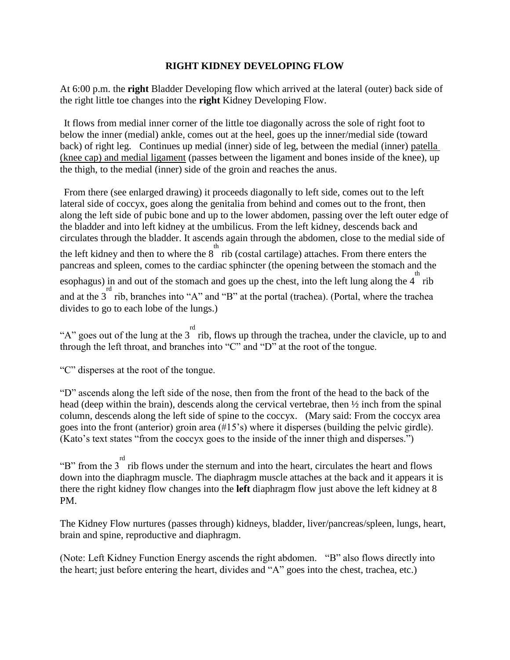## **RIGHT KIDNEY DEVELOPING FLOW**

At 6:00 p.m. the **right** Bladder Developing flow which arrived at the lateral (outer) back side of the right little toe changes into the **right** Kidney Developing Flow.

It flows from medial inner corner of the little toe diagonally across the sole of right foot to below the inner (medial) ankle, comes out at the heel, goes up the inner/medial side (toward back) of right leg. Continues up medial (inner) side of leg, between the medial (inner) patella (knee cap) and medial ligament (passes between the ligament and bones inside of the knee), up the thigh, to the medial (inner) side of the groin and reaches the anus.

From there (see enlarged drawing) it proceeds diagonally to left side, comes out to the left lateral side of coccyx, goes along the genitalia from behind and comes out to the front, then along the left side of pubic bone and up to the lower abdomen, passing over the left outer edge of the bladder and into left kidney at the umbilicus. From the left kidney, descends back and circulates through the bladder. It ascends again through the abdomen, close to the medial side of the left kidney and then to where the  $8^{th}$  rib (costal cartilage) attaches. From there enters the pancreas and spleen, comes to the cardiac sphincter (the opening between the stomach and the Example 1. The stophagus) in and out of the stomach and goes up the chest, into the left lung along the  $4^{th}$  rib and at the  $3^{rd}$  rib, branches into "A" and "B" at the portal (trachea). (Portal, where the trachea divides to go to each lobe of the lungs.)

"A" goes out of the lung at the  $3^{rd}$  rib, flows up through the trachea, under the clavicle, up to and through the left throat, and branches into "C" and "D" at the root of the tongue.

"C" disperses at the root of the tongue.

"D" ascends along the left side of the nose, then from the front of the head to the back of the head (deep within the brain), descends along the cervical vertebrae, then ½ inch from the spinal column, descends along the left side of spine to the coccyx. (Mary said: From the coccyx area goes into the front (anterior) groin area (#15's) where it disperses (building the pelvic girdle). (Kato's text states "from the coccyx goes to the inside of the inner thigh and disperses.")

"B" from the  $3^{rd}$  rib flows under the sternum and into the heart, circulates the heart and flows down into the diaphragm muscle. The diaphragm muscle attaches at the back and it appears it is there the right kidney flow changes into the **left** diaphragm flow just above the left kidney at 8 PM.

The Kidney Flow nurtures (passes through) kidneys, bladder, liver/pancreas/spleen, lungs, heart, brain and spine, reproductive and diaphragm.

(Note: Left Kidney Function Energy ascends the right abdomen. "B" also flows directly into the heart; just before entering the heart, divides and "A" goes into the chest, trachea, etc.)